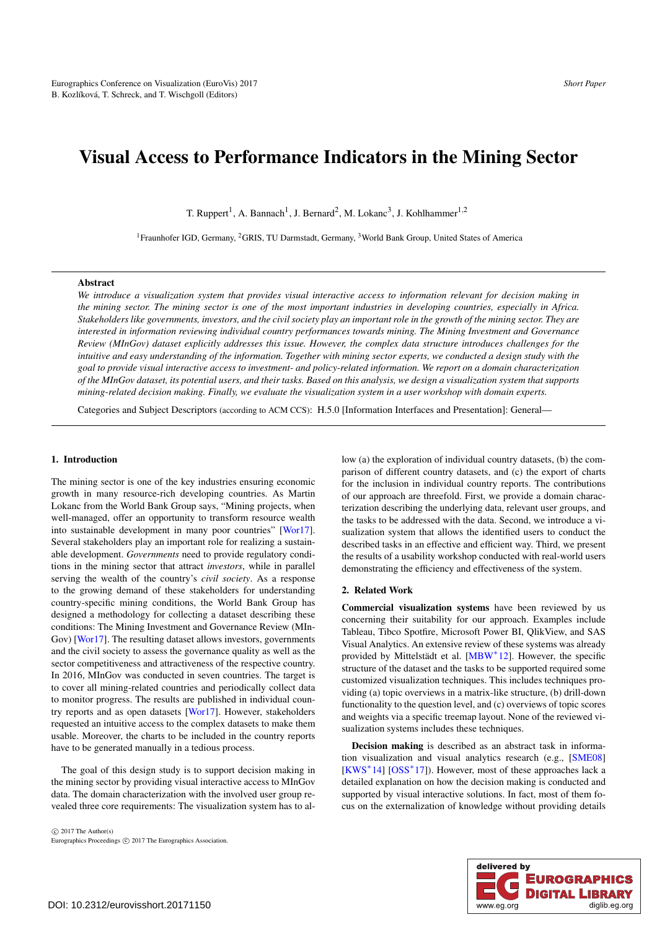# <span id="page-0-0"></span>Visual Access to Performance Indicators in the Mining Sector

T. Ruppert<sup>1</sup>, A. Bannach<sup>1</sup>, J. Bernard<sup>2</sup>, M. Lokanc<sup>3</sup>, J. Kohlhammer<sup>1,2</sup>

<sup>1</sup> Fraunhofer IGD, Germany, <sup>2</sup>GRIS, TU Darmstadt, Germany, <sup>3</sup>World Bank Group, United States of America

# Abstract

*We introduce a visualization system that provides visual interactive access to information relevant for decision making in the mining sector. The mining sector is one of the most important industries in developing countries, especially in Africa. Stakeholders like governments, investors, and the civil society play an important role in the growth of the mining sector. They are interested in information reviewing individual country performances towards mining. The Mining Investment and Governance Review (MInGov) dataset explicitly addresses this issue. However, the complex data structure introduces challenges for the intuitive and easy understanding of the information. Together with mining sector experts, we conducted a design study with the goal to provide visual interactive access to investment- and policy-related information. We report on a domain characterization of the MInGov dataset, its potential users, and their tasks. Based on this analysis, we design a visualization system that supports mining-related decision making. Finally, we evaluate the visualization system in a user workshop with domain experts.*

Categories and Subject Descriptors (according to ACM CCS): H.5.0 [Information Interfaces and Presentation]: General—

## 1. Introduction

The mining sector is one of the key industries ensuring economic growth in many resource-rich developing countries. As Martin Lokanc from the World Bank Group says, "Mining projects, when well-managed, offer an opportunity to transform resource wealth into sustainable development in many poor countries" [\[Wor17\]](#page-4-0). Several stakeholders play an important role for realizing a sustainable development. *Governments* need to provide regulatory conditions in the mining sector that attract *investors*, while in parallel serving the wealth of the country's *civil society*. As a response to the growing demand of these stakeholders for understanding country-specific mining conditions, the World Bank Group has designed a methodology for collecting a dataset describing these conditions: The Mining Investment and Governance Review (MIn-Gov) [\[Wor17\]](#page-4-0). The resulting dataset allows investors, governments and the civil society to assess the governance quality as well as the sector competitiveness and attractiveness of the respective country. In 2016, MInGov was conducted in seven countries. The target is to cover all mining-related countries and periodically collect data to monitor progress. The results are published in individual country reports and as open datasets [\[Wor17\]](#page-4-0). However, stakeholders requested an intuitive access to the complex datasets to make them usable. Moreover, the charts to be included in the country reports have to be generated manually in a tedious process.

The goal of this design study is to support decision making in the mining sector by providing visual interactive access to MInGov data. The domain characterization with the involved user group revealed three core requirements: The visualization system has to al-

 $\odot$  2017 The Author(s) Eurographics Proceedings  $\odot$  2017 The Eurographics Association. low (a) the exploration of individual country datasets, (b) the comparison of different country datasets, and (c) the export of charts for the inclusion in individual country reports. The contributions of our approach are threefold. First, we provide a domain characterization describing the underlying data, relevant user groups, and the tasks to be addressed with the data. Second, we introduce a visualization system that allows the identified users to conduct the described tasks in an effective and efficient way. Third, we present the results of a usability workshop conducted with real-world users demonstrating the efficiency and effectiveness of the system.

## 2. Related Work

Commercial visualization systems have been reviewed by us concerning their suitability for our approach. Examples include Tableau, Tibco Spotfire, Microsoft Power BI, QlikView, and SAS Visual Analytics. An extensive review of these systems was already provided by Mittelstädt et al. [\[MBW](#page-4-1)∗12]. However, the specific structure of the dataset and the tasks to be supported required some customized visualization techniques. This includes techniques providing (a) topic overviews in a matrix-like structure, (b) drill-down functionality to the question level, and (c) overviews of topic scores and weights via a specific treemap layout. None of the reviewed visualization systems includes these techniques.

Decision making is described as an abstract task in information visualization and visual analytics research (e.g., [\[SME08\]](#page-4-2) [\[KWS](#page-4-3)<sup>\*</sup>14] [\[OSS](#page-4-4)<sup>\*</sup>17]). However, most of these approaches lack a detailed explanation on how the decision making is conducted and supported by visual interactive solutions. In fact, most of them focus on the externalization of knowledge without providing details

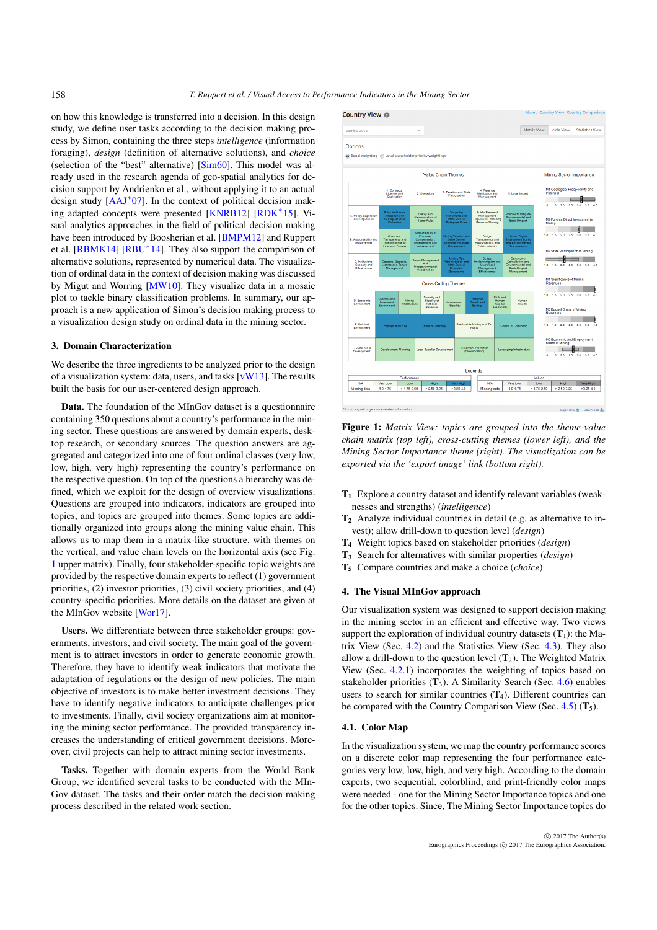<span id="page-1-2"></span>on how this knowledge is transferred into a decision. In this design study, we define user tasks according to the decision making process by Simon, containing the three steps *intelligence* (information foraging), *design* (definition of alternative solutions), and *choice* (selection of the "best" alternative) [\[Sim60\]](#page-4-5). This model was already used in the research agenda of geo-spatial analytics for decision support by Andrienko et al., without applying it to an actual design study  $[AAJ^*07]$  $[AAJ^*07]$ . In the context of political decision making adapted concepts were presented [\[KNRB12\]](#page-4-7) [\[RDK](#page-4-8)∗15]. Visual analytics approaches in the field of political decision making have been introduced by Boosherian et al. [\[BMPM12\]](#page-4-9) and Ruppert et al.  $[RBMK14] [RBU^*14]$  $[RBMK14] [RBU^*14]$  $[RBMK14] [RBU^*14]$  $[RBMK14] [RBU^*14]$ . They also support the comparison of alternative solutions, represented by numerical data. The visualization of ordinal data in the context of decision making was discussed by Migut and Worring [\[MW10\]](#page-4-12). They visualize data in a mosaic plot to tackle binary classification problems. In summary, our approach is a new application of Simon's decision making process to a visualization design study on ordinal data in the mining sector.

#### 3. Domain Characterization

We describe the three ingredients to be analyzed prior to the design of a visualization system: data, users, and tasks [\[vW13\]](#page-4-13). The results built the basis for our user-centered design approach.

Data. The foundation of the MInGov dataset is a questionnaire containing 350 questions about a country's performance in the mining sector. These questions are answered by domain experts, desktop research, or secondary sources. The question answers are aggregated and categorized into one of four ordinal classes (very low, low, high, very high) representing the country's performance on the respective question. On top of the questions a hierarchy was defined, which we exploit for the design of overview visualizations. Questions are grouped into indicators, indicators are grouped into topics, and topics are grouped into themes. Some topics are additionally organized into groups along the mining value chain. This allows us to map them in a matrix-like structure, with themes on the vertical, and value chain levels on the horizontal axis (see Fig. [1](#page-1-0) upper matrix). Finally, four stakeholder-specific topic weights are provided by the respective domain experts to reflect (1) government priorities, (2) investor priorities, (3) civil society priorities, and (4) country-specific priorities. More details on the dataset are given at the MInGov website [\[Wor17\]](#page-4-0).

Users. We differentiate between three stakeholder groups: governments, investors, and civil society. The main goal of the government is to attract investors in order to generate economic growth. Therefore, they have to identify weak indicators that motivate the adaptation of regulations or the design of new policies. The main objective of investors is to make better investment decisions. They have to identify negative indicators to anticipate challenges prior to investments. Finally, civil society organizations aim at monitoring the mining sector performance. The provided transparency increases the understanding of critical government decisions. Moreover, civil projects can help to attract mining sector investments.

Tasks. Together with domain experts from the World Bank Group, we identified several tasks to be conducted with the MIn-Gov dataset. The tasks and their order match the decision making process described in the related work section.



<span id="page-1-0"></span>Figure 1: *Matrix View: topics are grouped into the theme-value chain matrix (top left), cross-cutting themes (lower left), and the Mining Sector Importance theme (right). The visualization can be exported via the 'export image' link (bottom right).*

- $T_1$  Explore a country dataset and identify relevant variables (weaknesses and strengths) (*intelligence*)
- $T_2$  Analyze individual countries in detail (e.g. as alternative to invest); allow drill-down to question level (*design*)
- T4 Weight topics based on stakeholder priorities (*design*)
- T3 Search for alternatives with similar properties (*design*)
- T5 Compare countries and make a choice (*choice*)

#### 4. The Visual MInGov approach

Our visualization system was designed to support decision making in the mining sector in an efficient and effective way. Two views support the exploration of individual country datasets  $(T_1)$ : the Matrix View (Sec. [4.2\)](#page-2-0) and the Statistics View (Sec. [4.3\)](#page-2-1). They also allow a drill-down to the question level  $(T_2)$ . The Weighted Matrix View (Sec. [4.2.1\)](#page-2-2) incorporates the weighting of topics based on stakeholder priorities  $(T_3)$ . A Similarity Search (Sec. [4.6\)](#page-3-0) enables users to search for similar countries  $(T_4)$ . Different countries can be compared with the Country Comparison View (Sec. [4.5\)](#page-2-3)  $(T_5)$ .

## <span id="page-1-1"></span>4.1. Color Map

In the visualization system, we map the country performance scores on a discrete color map representing the four performance categories very low, low, high, and very high. According to the domain experts, two sequential, colorblind, and print-friendly color maps were needed - one for the Mining Sector Importance topics and one for the other topics. Since, The Mining Sector Importance topics do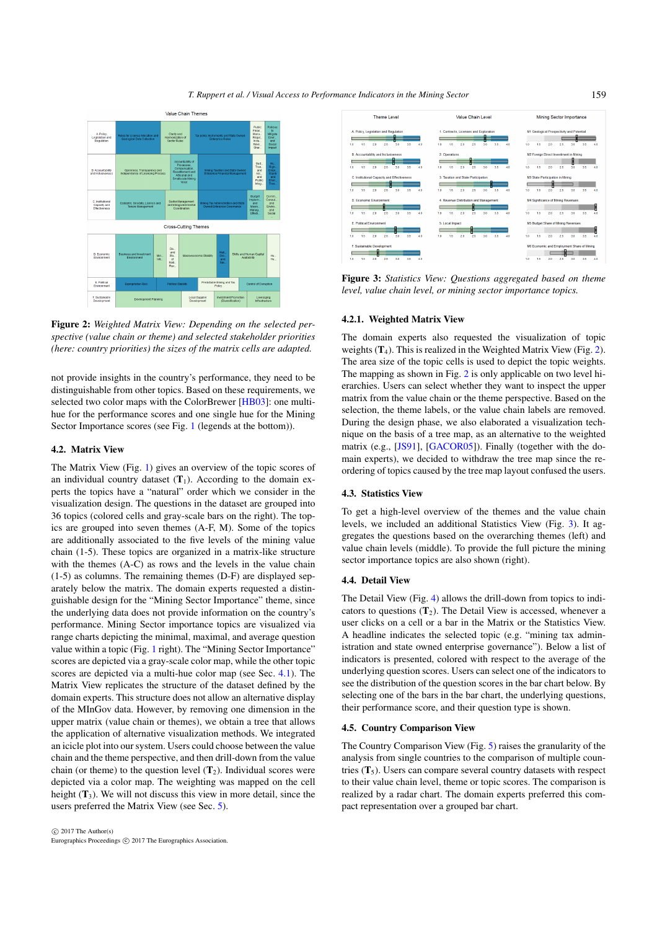*T. Ruppert et al. / Visual Access to Performance Indicators in the Mining Sector*

<span id="page-2-6"></span>

<span id="page-2-4"></span>Figure 2: *Weighted Matrix View: Depending on the selected perspective (value chain or theme) and selected stakeholder priorities (here: country priorities) the sizes of the matrix cells are adapted.*

not provide insights in the country's performance, they need to be distinguishable from other topics. Based on these requirements, we selected two color maps with the ColorBrewer [\[HB03\]](#page-4-14): one multihue for the performance scores and one single hue for the Mining Sector Importance scores (see Fig. [1](#page-1-0) (legends at the bottom)).

## <span id="page-2-0"></span>4.2. Matrix View

The Matrix View (Fig. [1\)](#page-1-0) gives an overview of the topic scores of an individual country dataset  $(T_1)$ . According to the domain experts the topics have a "natural" order which we consider in the visualization design. The questions in the dataset are grouped into 36 topics (colored cells and gray-scale bars on the right). The topics are grouped into seven themes (A-F, M). Some of the topics are additionally associated to the five levels of the mining value chain (1-5). These topics are organized in a matrix-like structure with the themes (A-C) as rows and the levels in the value chain (1-5) as columns. The remaining themes (D-F) are displayed separately below the matrix. The domain experts requested a distinguishable design for the "Mining Sector Importance" theme, since the underlying data does not provide information on the country's performance. Mining Sector importance topics are visualized via range charts depicting the minimal, maximal, and average question value within a topic (Fig. [1](#page-1-0) right). The "Mining Sector Importance" scores are depicted via a gray-scale color map, while the other topic scores are depicted via a multi-hue color map (see Sec. [4.1\)](#page-1-1). The Matrix View replicates the structure of the dataset defined by the domain experts. This structure does not allow an alternative display of the MInGov data. However, by removing one dimension in the upper matrix (value chain or themes), we obtain a tree that allows the application of alternative visualization methods. We integrated an icicle plot into our system. Users could choose between the value chain and the theme perspective, and then drill-down from the value chain (or theme) to the question level  $(T_2)$ . Individual scores were depicted via a color map. The weighting was mapped on the cell height  $(T_3)$ . We will not discuss this view in more detail, since the users preferred the Matrix View (see Sec. [5\)](#page-3-1).



<span id="page-2-5"></span><span id="page-2-2"></span>Figure 3: *Statistics View: Questions aggregated based on theme level, value chain level, or mining sector importance topics.*

## 4.2.1. Weighted Matrix View

The domain experts also requested the visualization of topic weights  $(T_4)$ . This is realized in the Weighted Matrix View (Fig. [2\)](#page-2-4). The area size of the topic cells is used to depict the topic weights. The mapping as shown in Fig. [2](#page-2-4) is only applicable on two level hierarchies. Users can select whether they want to inspect the upper matrix from the value chain or the theme perspective. Based on the selection, the theme labels, or the value chain labels are removed. During the design phase, we also elaborated a visualization technique on the basis of a tree map, as an alternative to the weighted matrix (e.g., [\[JS91\]](#page-4-15), [\[GACOR05\]](#page-4-16)). Finally (together with the domain experts), we decided to withdraw the tree map since the reordering of topics caused by the tree map layout confused the users.

## <span id="page-2-1"></span>4.3. Statistics View

To get a high-level overview of the themes and the value chain levels, we included an additional Statistics View (Fig. [3\)](#page-2-5). It aggregates the questions based on the overarching themes (left) and value chain levels (middle). To provide the full picture the mining sector importance topics are also shown (right).

# 4.4. Detail View

The Detail View (Fig. [4\)](#page-3-2) allows the drill-down from topics to indicators to questions  $(T_2)$ . The Detail View is accessed, whenever a user clicks on a cell or a bar in the Matrix or the Statistics View. A headline indicates the selected topic (e.g. "mining tax administration and state owned enterprise governance"). Below a list of indicators is presented, colored with respect to the average of the underlying question scores. Users can select one of the indicators to see the distribution of the question scores in the bar chart below. By selecting one of the bars in the bar chart, the underlying questions, their performance score, and their question type is shown.

#### <span id="page-2-3"></span>4.5. Country Comparison View

The Country Comparison View (Fig. [5\)](#page-3-3) raises the granularity of the analysis from single countries to the comparison of multiple countries  $(T_5)$ . Users can compare several country datasets with respect to their value chain level, theme or topic scores. The comparison is realized by a radar chart. The domain experts preferred this compact representation over a grouped bar chart.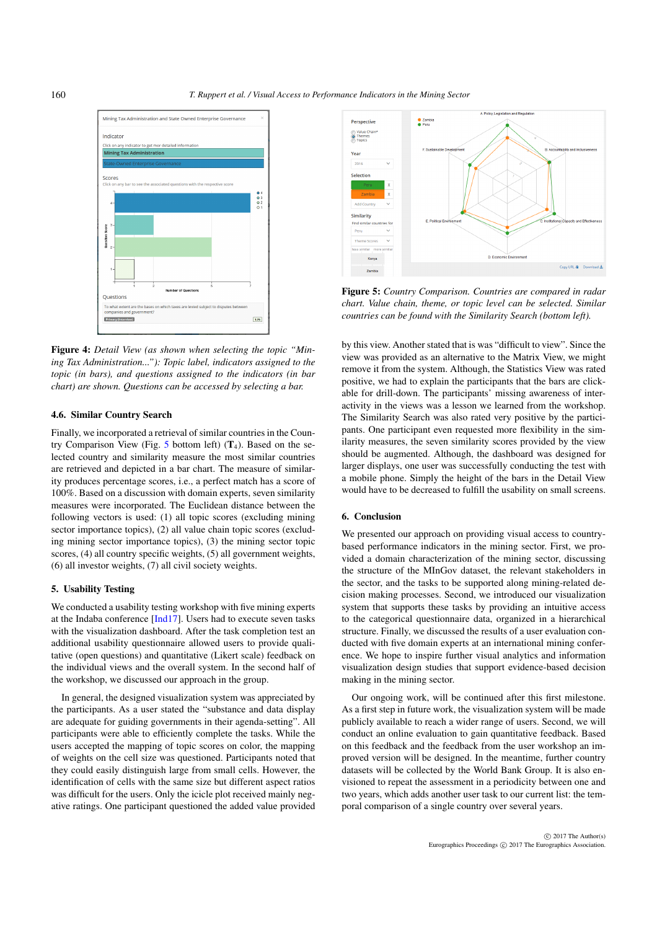<span id="page-3-4"></span>

<span id="page-3-2"></span>Figure 4: *Detail View (as shown when selecting the topic "Mining Tax Administration..."): Topic label, indicators assigned to the topic (in bars), and questions assigned to the indicators (in bar chart) are shown. Questions can be accessed by selecting a bar.*

# <span id="page-3-0"></span>4.6. Similar Country Search

Finally, we incorporated a retrieval of similar countries in the Coun-try Comparison View (Fig. [5](#page-3-3) bottom left)  $(T_4)$ . Based on the selected country and similarity measure the most similar countries are retrieved and depicted in a bar chart. The measure of similarity produces percentage scores, i.e., a perfect match has a score of 100%. Based on a discussion with domain experts, seven similarity measures were incorporated. The Euclidean distance between the following vectors is used: (1) all topic scores (excluding mining sector importance topics), (2) all value chain topic scores (excluding mining sector importance topics), (3) the mining sector topic scores, (4) all country specific weights, (5) all government weights, (6) all investor weights, (7) all civil society weights.

# <span id="page-3-1"></span>5. Usability Testing

We conducted a usability testing workshop with five mining experts at the Indaba conference [\[Ind17\]](#page-4-17). Users had to execute seven tasks with the visualization dashboard. After the task completion test an additional usability questionnaire allowed users to provide qualitative (open questions) and quantitative (Likert scale) feedback on the individual views and the overall system. In the second half of the workshop, we discussed our approach in the group.

In general, the designed visualization system was appreciated by the participants. As a user stated the "substance and data display are adequate for guiding governments in their agenda-setting". All participants were able to efficiently complete the tasks. While the users accepted the mapping of topic scores on color, the mapping of weights on the cell size was questioned. Participants noted that they could easily distinguish large from small cells. However, the identification of cells with the same size but different aspect ratios was difficult for the users. Only the icicle plot received mainly negative ratings. One participant questioned the added value provided

![](_page_3_Figure_8.jpeg)

<span id="page-3-3"></span>Figure 5: *Country Comparison. Countries are compared in radar chart. Value chain, theme, or topic level can be selected. Similar countries can be found with the Similarity Search (bottom left).*

by this view. Another stated that is was "difficult to view". Since the view was provided as an alternative to the Matrix View, we might remove it from the system. Although, the Statistics View was rated positive, we had to explain the participants that the bars are clickable for drill-down. The participants' missing awareness of interactivity in the views was a lesson we learned from the workshop. The Similarity Search was also rated very positive by the participants. One participant even requested more flexibility in the similarity measures, the seven similarity scores provided by the view should be augmented. Although, the dashboard was designed for larger displays, one user was successfully conducting the test with a mobile phone. Simply the height of the bars in the Detail View would have to be decreased to fulfill the usability on small screens.

## 6. Conclusion

We presented our approach on providing visual access to countrybased performance indicators in the mining sector. First, we provided a domain characterization of the mining sector, discussing the structure of the MInGov dataset, the relevant stakeholders in the sector, and the tasks to be supported along mining-related decision making processes. Second, we introduced our visualization system that supports these tasks by providing an intuitive access to the categorical questionnaire data, organized in a hierarchical structure. Finally, we discussed the results of a user evaluation conducted with five domain experts at an international mining conference. We hope to inspire further visual analytics and information visualization design studies that support evidence-based decision making in the mining sector.

Our ongoing work, will be continued after this first milestone. As a first step in future work, the visualization system will be made publicly available to reach a wider range of users. Second, we will conduct an online evaluation to gain quantitative feedback. Based on this feedback and the feedback from the user workshop an improved version will be designed. In the meantime, further country datasets will be collected by the World Bank Group. It is also envisioned to repeat the assessment in a periodicity between one and two years, which adds another user task to our current list: the temporal comparison of a single country over several years.